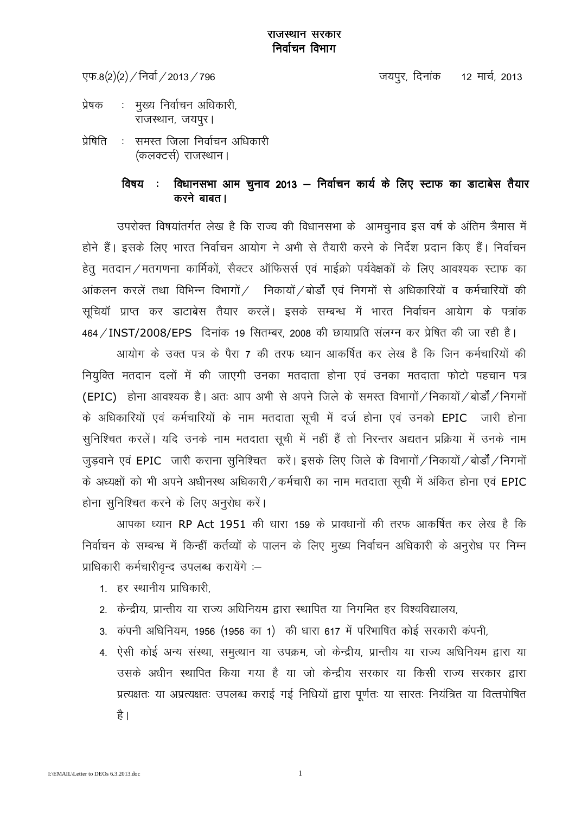#### राजस्थान सरकार निर्वाचन विभाग

एफ.8(2)(2) / निर्वा / 2013 / 796

जयपुर, दिनांक 12 मार्च, 2013

- : मुख्य निर्वाचन अधिकारी, प्रेषक राजस्थान, जयपूर।
- प्रेषिति : समस्त जिला निर्वाचन अधिकारी (कलक्टर्स) राजस्थान।

#### विधानसभा आम चुनाव 2013 – निर्वाचन कार्य के लिए स्टाफ का डाटाबेस तैयार विषय : करने बाबत।

उपरोक्त विषयांतर्गत लेख है कि राज्य की विधानसभा के आमचुनाव इस वर्ष के अंतिम त्रैमास में होने हैं। इसके लिए भारत निर्वाचन आयोग ने अभी से तैयारी करने के निर्देश प्रदान किए हैं। निर्वाचन हेतू मतदान / मतगणना कार्मिकों, सैक्टर ऑफिसर्स एवं माईक्रो पर्यवेक्षकों के लिए आवश्यक स्टाफ का आंकलन करलें तथा विभिन्न विभागों / निकायों / बोर्डों एवं निगमों से अधिकारियों व कर्मचारियों की सुचियाँ प्राप्त कर डाटाबेस तैयार करलें। इसके सम्बन्ध में भारत निर्वाचन आयेाग के पत्रांक 464 / INST/2008/EPS दिनांक 19 सितम्बर, 2008 की छायाप्रति संलग्न कर प्रेषित की जा रही है।

आयोग के उक्त पत्र के पैरा 7 की तरफ ध्यान आकर्षित कर लेख है कि जिन कर्मचारियों की नियुक्ति मतदान दलों में की जाएगी उनका मतदाता होना एवं उनका मतदाता फोटो पहचान पत्र (EPIC) होना आवश्यक है। अतः आप अभी से अपने जिले के समस्त विभागों / निकायों / बोर्डों / निगमों के अधिकारियों एवं कर्मचारियों के नाम मतदाता सूची में दर्ज होना एवं उनको EPIC जारी होना सुनिश्चित करलें। यदि उनके नाम मतदाता सुची में नहीं हैं तो निरन्तर अद्यतन प्रक्रिया में उनके नाम जुड़वाने एवं EPIC जारी कराना सुनिश्चित करें। इसके लिए जिले के विभागों / निकायों / बोर्डों / निगमों के अध्यक्षों को भी अपने अधीनस्थ अधिकारी / कर्मचारी का नाम मतदाता सूची में अंकित होना एवं EPIC होना सुनिश्चित करने के लिए अनुरोध करें।

आपका ध्यान RP Act 1951 की धारा 159 के प्रावधानों की तरफ आकर्षित कर लेख है कि निर्वाचन के सम्बन्ध में किन्हीं कर्तव्यों के पालन के लिए मुख्य निर्वाचन अधिकारी के अनुरोध पर निम्न प्राधिकारी कर्मचारीवृन्द उपलब्ध करायेंगे :-

- 1 हर स्थानीय प्राधिकारी
- 2. केन्द्रीय, प्रान्तीय या राज्य अधिनियम द्वारा स्थापित या निगमित हर विश्वविद्यालय.
- 3. कंपनी अधिनियम, 1956 (1956 का 1) की धारा 617 में परिभाषित कोई सरकारी कंपनी,
- 4. ऐसी कोई अन्य संस्था, समुत्थान या उपक्रम, जो केन्द्रीय, प्रान्तीय या राज्य अधिनियम द्वारा या उसके अधीन स्थापित किया गया है या जो केन्द्रीय सरकार या किसी राज्य सरकार द्वारा प्रत्यक्षतः या अप्रत्यक्षतः उपलब्ध कराई गई निधियों द्वारा पूर्णतः या सारतः नियंत्रित या वित्तपोषित है ।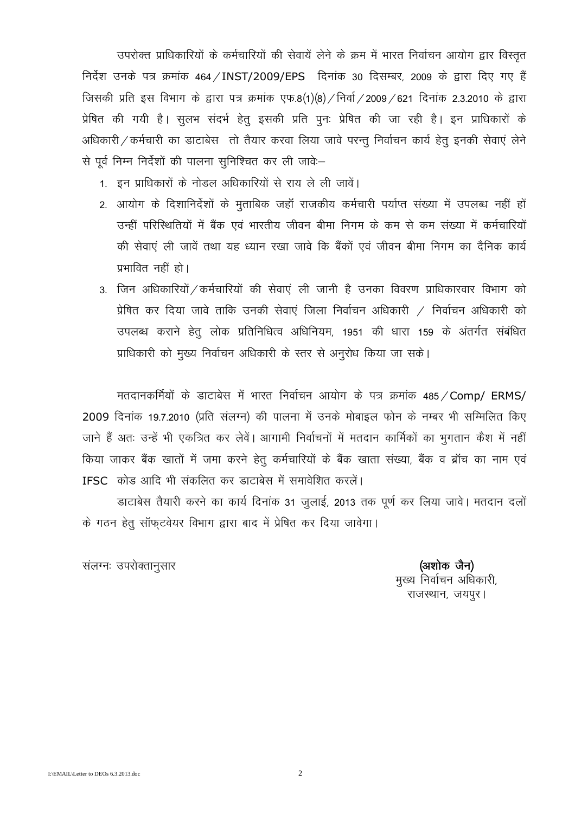उपरोक्त प्राधिकारियों के कर्मचारियों की सेवायें लेने के क्रम में भारत निर्वाचन आयोग द्वार विस्तृत निर्देश उनके पत्र क्रमांक 464 / INST/2009/EPS दिनांक 30 दिसम्बर, 2009 के द्वारा दिए गए हैं जिसकी प्रति इस विभाग के द्वारा पत्र क्रमांक एफ.8(1)(8) / निर्वा / 2009 / 621 दिनांक 2.3.2010 के द्वारा प्रेषित की गयी है। सुलभ संदर्भ हेतू इसकी प्रति पुनः प्रेषित की जा रही है। इन प्राधिकारों के अधिकारी / कर्मचारी का डाटाबेस तो तैयार करवा लिया जावे परन्तू निर्वाचन कार्य हेतू इनकी सेवाएं लेने से पूर्व निम्न निर्देशों की पालना सुनिश्चित कर ली जावे:-

- 1. इन प्राधिकारों के नोडल अधिकारियों से राय ले ली जावें।
- 2. आयोग के दिशानिर्देशों के मुताबिक जहाँ राजकीय कर्मचारी पर्याप्त संख्या में उपलब्ध नहीं हों उन्हीं परिस्थितियों में बैंक एवं भारतीय जीवन बीमा निगम के कम से कम संख्या में कर्मचारियों की सेवाएं ली जावें तथा यह ध्यान रखा जावे कि बैंकों एवं जीवन बीमा निगम का दैनिक कार्य प्रभावित नहीं हो।
- 3. जिन अधिकारियों / कर्मचारियों की सेवाएं ली जानी है उनका विवरण प्राधिकारवार विभाग को प्रेषित कर दिया जावे ताकि उनकी सेवाएं जिला निर्वाचन अधिकारी / निर्वाचन अधिकारी को उपलब्ध कराने हेतू लोक प्रतिनिधित्व अधिनियम, 1951 की धारा 159 के अंतर्गत संबंधित प्राधिकारी को मुख्य निर्वाचन अधिकारी के स्तर से अनुरोध किया जा सके।

मतदानकर्मियों के डाटाबेस में भारत निर्वाचन आयोग के पत्र क्रमांक 485 / Comp/ ERMS/ 2009 दिनांक 19.7.2010 (प्रति संलग्न) की पालना में उनके मोबाइल फोन के नम्बर भी सम्मिलित किए जाने हैं अतः उन्हें भी एकत्रित कर लेवें। आगामी निर्वाचनों में मतदान कार्मिकों का भगतान कैश में नहीं किया जाकर बैंक खातों में जमा करने हेत कर्मचारियों के बैंक खाता संख्या, बैंक व ब्रॉच का नाम एवं IFSC कोड आदि भी संकलित कर डाटाबेस में समावेशित करलें।

डाटाबेस तैयारी करने का कार्य दिनांक 31 जुलाई, 2013 तक पूर्ण कर लिया जावे। मतदान दलों के गठन हेतू सॉफटवेयर विभाग द्वारा बाद में प्रेषित कर दिया जावेगा।

संलग्नः उपरोक्तानसार

(अशोक जैन) मुख्य निर्वाचन अधिकारी, राजस्थान, जयपर।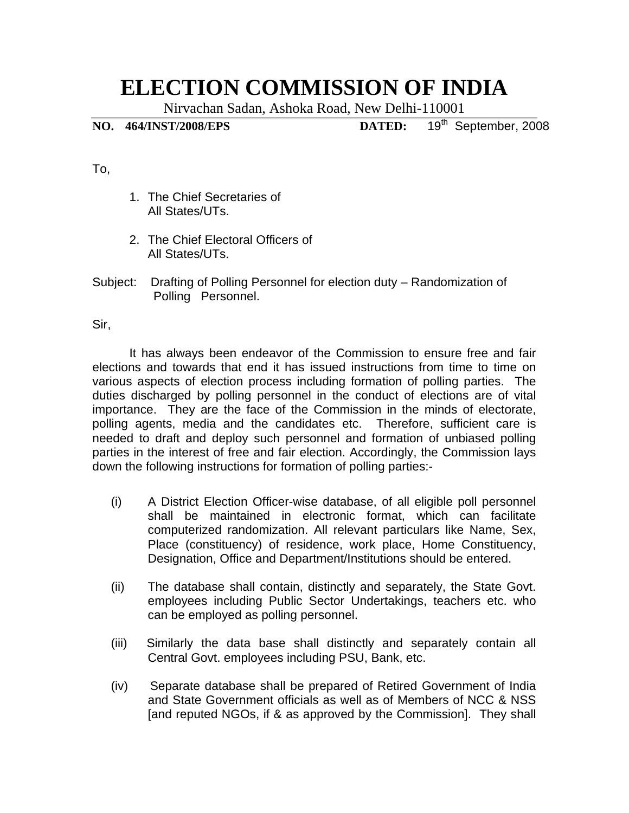## **ELECTION COMMISSION OF INDIA**

Nirvachan Sadan, Ashoka Road, New Delhi-110001

**NO. 464/INST/2008/EPS DATED:** 19th September, 2008

To,

- 1. The Chief Secretaries of All States/UTs.
- 2. The Chief Electoral Officers of All States/UTs.
- Subject: Drafting of Polling Personnel for election duty Randomization of Polling Personnel.

Sir,

 It has always been endeavor of the Commission to ensure free and fair elections and towards that end it has issued instructions from time to time on various aspects of election process including formation of polling parties. The duties discharged by polling personnel in the conduct of elections are of vital importance. They are the face of the Commission in the minds of electorate, polling agents, media and the candidates etc. Therefore, sufficient care is needed to draft and deploy such personnel and formation of unbiased polling parties in the interest of free and fair election. Accordingly, the Commission lays down the following instructions for formation of polling parties:-

- (i) A District Election Officer-wise database, of all eligible poll personnel shall be maintained in electronic format, which can facilitate computerized randomization. All relevant particulars like Name, Sex, Place (constituency) of residence, work place, Home Constituency, Designation, Office and Department/Institutions should be entered.
- (ii) The database shall contain, distinctly and separately, the State Govt. employees including Public Sector Undertakings, teachers etc. who can be employed as polling personnel.
- (iii) Similarly the data base shall distinctly and separately contain all Central Govt. employees including PSU, Bank, etc.
- (iv) Separate database shall be prepared of Retired Government of India and State Government officials as well as of Members of NCC & NSS [and reputed NGOs, if & as approved by the Commission]. They shall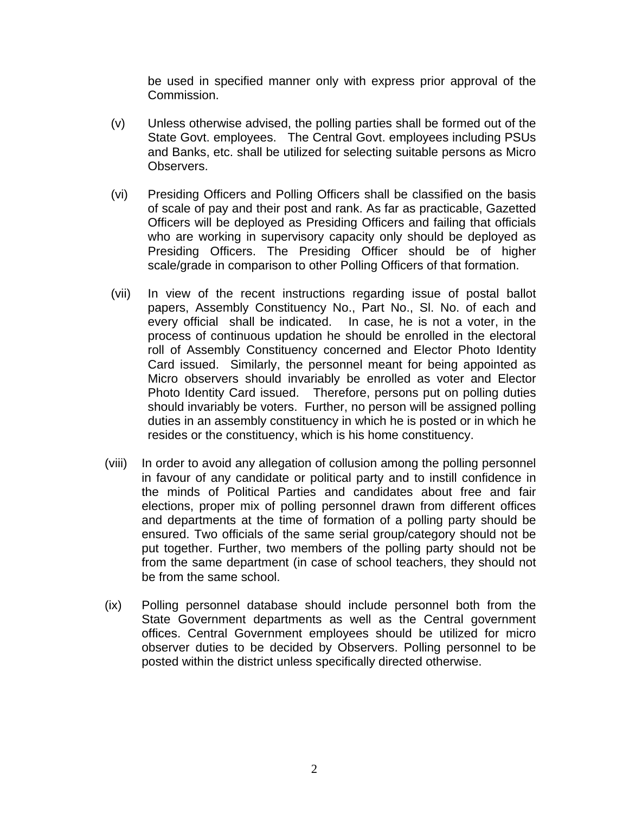be used in specified manner only with express prior approval of the Commission.

- (v) Unless otherwise advised, the polling parties shall be formed out of the State Govt. employees. The Central Govt. employees including PSUs and Banks, etc. shall be utilized for selecting suitable persons as Micro Observers.
- (vi) Presiding Officers and Polling Officers shall be classified on the basis of scale of pay and their post and rank. As far as practicable, Gazetted Officers will be deployed as Presiding Officers and failing that officials who are working in supervisory capacity only should be deployed as Presiding Officers. The Presiding Officer should be of higher scale/grade in comparison to other Polling Officers of that formation.
- (vii) In view of the recent instructions regarding issue of postal ballot papers, Assembly Constituency No., Part No., Sl. No. of each and every official shall be indicated. In case, he is not a voter, in the process of continuous updation he should be enrolled in the electoral roll of Assembly Constituency concerned and Elector Photo Identity Card issued. Similarly, the personnel meant for being appointed as Micro observers should invariably be enrolled as voter and Elector Photo Identity Card issued. Therefore, persons put on polling duties should invariably be voters. Further, no person will be assigned polling duties in an assembly constituency in which he is posted or in which he resides or the constituency, which is his home constituency.
- (viii) In order to avoid any allegation of collusion among the polling personnel in favour of any candidate or political party and to instill confidence in the minds of Political Parties and candidates about free and fair elections, proper mix of polling personnel drawn from different offices and departments at the time of formation of a polling party should be ensured. Two officials of the same serial group/category should not be put together. Further, two members of the polling party should not be from the same department (in case of school teachers, they should not be from the same school.
- (ix) Polling personnel database should include personnel both from the State Government departments as well as the Central government offices. Central Government employees should be utilized for micro observer duties to be decided by Observers. Polling personnel to be posted within the district unless specifically directed otherwise.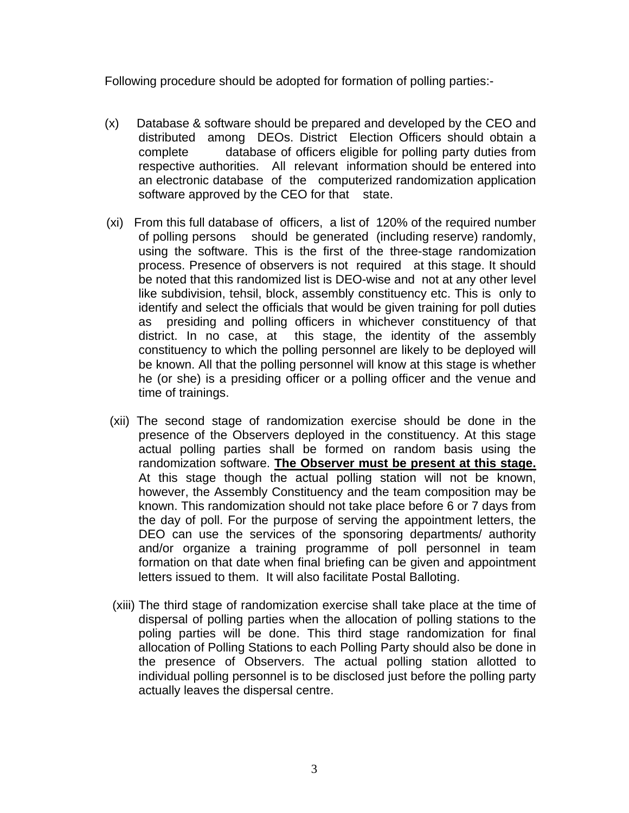Following procedure should be adopted for formation of polling parties:-

- (x) Database & software should be prepared and developed by the CEO and distributed among DEOs. District Election Officers should obtain a complete database of officers eligible for polling party duties from respective authorities. All relevant information should be entered into an electronic database of the computerized randomization application software approved by the CEO for that state.
- (xi) From this full database of officers, a list of 120% of the required number of polling persons should be generated (including reserve) randomly, using the software. This is the first of the three-stage randomization process. Presence of observers is not required at this stage. It should be noted that this randomized list is DEO-wise and not at any other level like subdivision, tehsil, block, assembly constituency etc. This is only to identify and select the officials that would be given training for poll duties as presiding and polling officers in whichever constituency of that district. In no case, at this stage, the identity of the assembly constituency to which the polling personnel are likely to be deployed will be known. All that the polling personnel will know at this stage is whether he (or she) is a presiding officer or a polling officer and the venue and time of trainings.
- (xii) The second stage of randomization exercise should be done in the presence of the Observers deployed in the constituency. At this stage actual polling parties shall be formed on random basis using the randomization software. **The Observer must be present at this stage.** At this stage though the actual polling station will not be known, however, the Assembly Constituency and the team composition may be known. This randomization should not take place before 6 or 7 days from the day of poll. For the purpose of serving the appointment letters, the DEO can use the services of the sponsoring departments/ authority and/or organize a training programme of poll personnel in team formation on that date when final briefing can be given and appointment letters issued to them. It will also facilitate Postal Balloting.
- (xiii) The third stage of randomization exercise shall take place at the time of dispersal of polling parties when the allocation of polling stations to the poling parties will be done. This third stage randomization for final allocation of Polling Stations to each Polling Party should also be done in the presence of Observers. The actual polling station allotted to individual polling personnel is to be disclosed just before the polling party actually leaves the dispersal centre.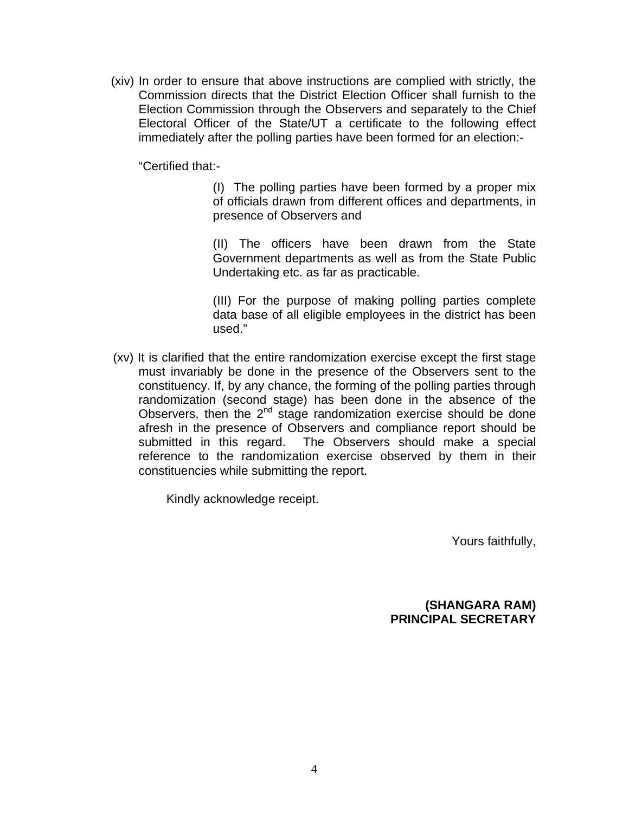(xiv) In order to ensure that above instructions are complied with strictly, the Commission directs that the District Election Officer shall furnish to the Election Commission through the Observers and separately to the Chief Electoral Officer of the State/UT a certificate to the following effect immediately after the polling parties have been formed for an election:-

"Certified that:-

(I) The polling parties have been formed by a proper mix of officials drawn from different offices and departments, in presence of Observers and

(II) The officers have been drawn from the State Government departments as well as from the State Public Undertaking etc. as far as practicable.

(III) For the purpose of making polling parties complete data base of all eligible employees in the district has been used."

 (xv) It is clarified that the entire randomization exercise except the first stage must invariably be done in the presence of the Observers sent to the constituency. If, by any chance, the forming of the polling parties through randomization (second stage) has been done in the absence of the Observers, then the  $2<sup>nd</sup>$  stage randomization exercise should be done afresh in the presence of Observers and compliance report should be submitted in this regard. The Observers should make a special reference to the randomization exercise observed by them in their constituencies while submitting the report.

Kindly acknowledge receipt.

Yours faithfully,

**(SHANGARA RAM) PRINCIPAL SECRETARY**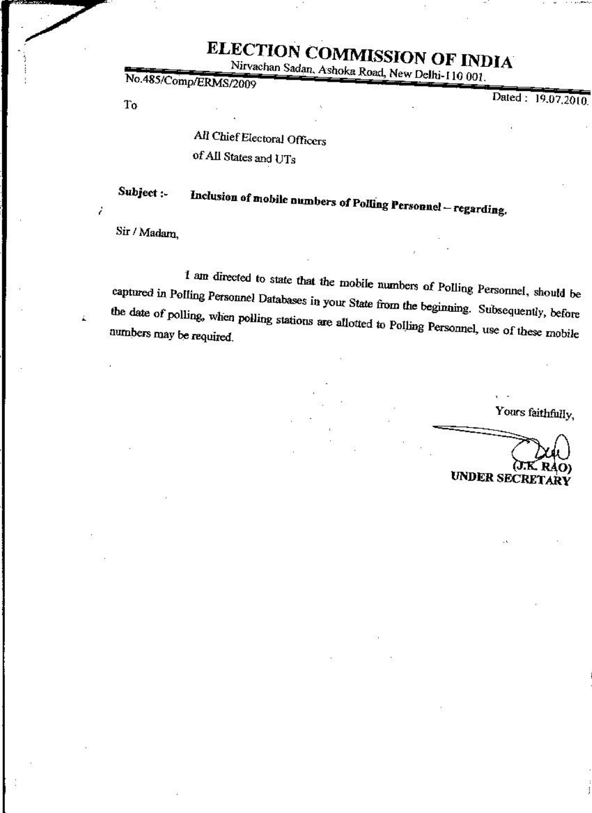# ELECTION COMMISSION OF INDIA

Nirvachan Sadan, Ashoka Road, New Delhi-110 001.

No.485/Comp/ERMS/2009

To

Dated: 19.07.2010.

All Chief Electoral Officers of All States and UTs

Subject :-Inclusion of mobile numbers of Polling Personnel - regarding.

Sir / Madam,

i

I am directed to state that the mobile numbers of Polling Personnel, should be captured in Polling Personnel Databases in your State from the beginning. Subsequently, before the date of polling, when polling stations are allotted to Polling Personnel, use of these mobile numbers may be required.

Yours faithfully,

**UNDER SECRE**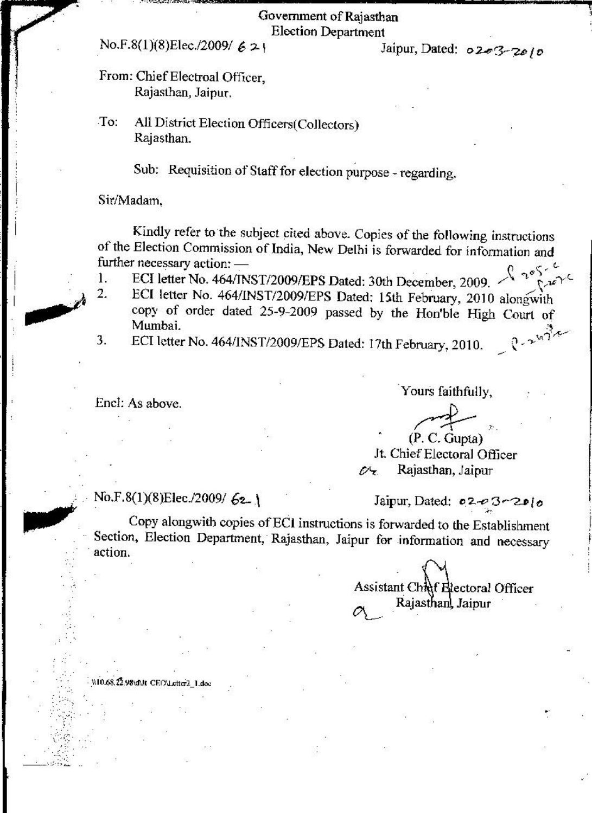#### Government of Rajasthan **Election Department**

### No.F.8(1)(8)Elec./2009/  $621$

Jaipur, Dated: 0203-2010

#### From: Chief Electroal Officer, Rajasthan, Jaipur.

All District Election Officers(Collectors) To: Rajasthan.

Sub: Requisition of Staff for election purpose - regarding.

Sir/Madam.

Kindly refer to the subject cited above. Copies of the following instructions of the Election Commission of India, New Delhi is forwarded for information and further necessary action: - $200$ 

- ECI letter No. 464/INST/2009/EPS Dated: 30th December, 2009.  $1.$
- ECI letter No. 464/INST/2009/EPS Dated: 15th February, 2010 alongwith  $\overline{2}$ . copy of order dated 25-9-2009 passed by the Hon'ble High Court of Mumbai.  $0.2474$
- ECI letter No. 464/INST/2009/EPS Dated: 17th February, 2010. 3.

Encl: As above.

W10.68.22.98\d\lt CEO\L

Yours faithfully,

 $(P. C. Gupta)$ Jt. Chief Electoral Officer Rajasthan, Jaipur a÷.

No.F.8(1)(8)Elec./2009/ 62-1

Jaipur, Dated: 02-03-2010

Copy alongwith copies of ECI instructions is forwarded to the Establishment Section, Election Department, Rajasthan, Jaipur for information and necessary action.

> Assistant Chief Electoral Officer Rajasthanl Jaipur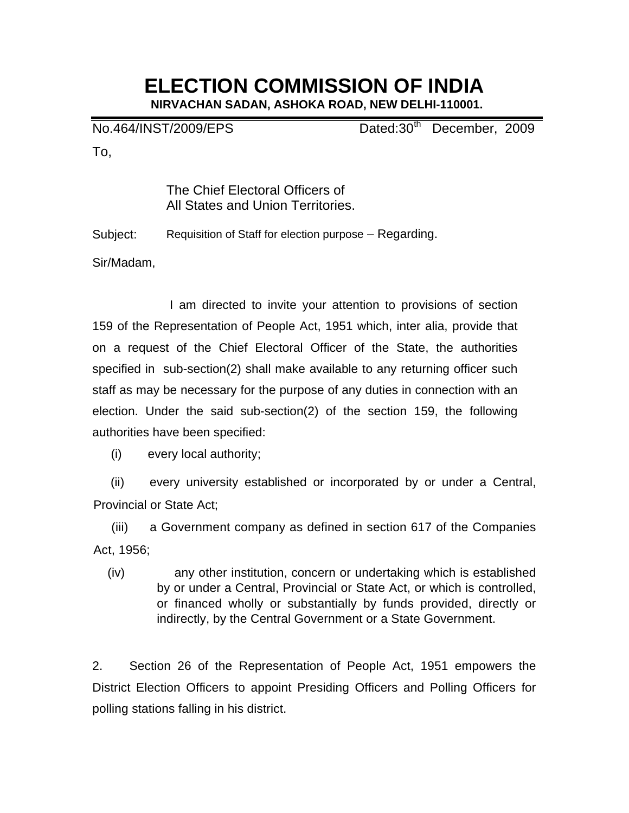## **ELECTION COMMISSION OF INDIA**

**NIRVACHAN SADAN, ASHOKA ROAD, NEW DELHI-110001.**

No.464/INST/2009/EPS Dated:30<sup>th</sup> December, 2009

To,

The Chief Electoral Officers of All States and Union Territories.

Subject: Requisition of Staff for election purpose – Regarding.

Sir/Madam,

 I am directed to invite your attention to provisions of section 159 of the Representation of People Act, 1951 which, inter alia, provide that on a request of the Chief Electoral Officer of the State, the authorities specified in sub-section(2) shall make available to any returning officer such staff as may be necessary for the purpose of any duties in connection with an election. Under the said sub-section(2) of the section 159, the following authorities have been specified:

(i) every local authority;

 (ii) every university established or incorporated by or under a Central, Provincial or State Act;

 (iii) a Government company as defined in section 617 of the Companies Act, 1956;

(iv) any other institution, concern or undertaking which is established by or under a Central, Provincial or State Act, or which is controlled, or financed wholly or substantially by funds provided, directly or indirectly, by the Central Government or a State Government.

2. Section 26 of the Representation of People Act, 1951 empowers the District Election Officers to appoint Presiding Officers and Polling Officers for polling stations falling in his district.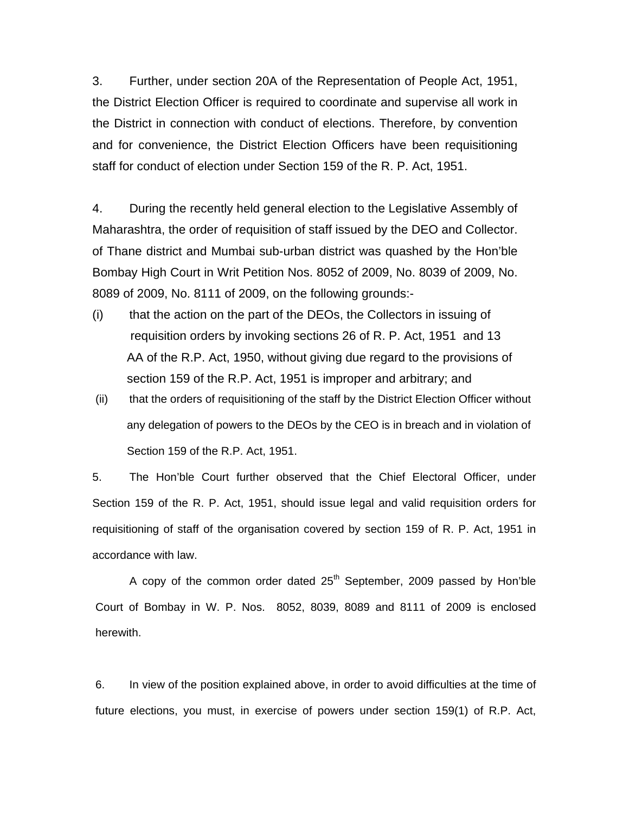3. Further, under section 20A of the Representation of People Act, 1951, the District Election Officer is required to coordinate and supervise all work in the District in connection with conduct of elections. Therefore, by convention and for convenience, the District Election Officers have been requisitioning staff for conduct of election under Section 159 of the R. P. Act, 1951.

4. During the recently held general election to the Legislative Assembly of Maharashtra, the order of requisition of staff issued by the DEO and Collector. of Thane district and Mumbai sub-urban district was quashed by the Hon'ble Bombay High Court in Writ Petition Nos. 8052 of 2009, No. 8039 of 2009, No. 8089 of 2009, No. 8111 of 2009, on the following grounds:-

- (i) that the action on the part of the DEOs, the Collectors in issuing of requisition orders by invoking sections 26 of R. P. Act, 1951 and 13 AA of the R.P. Act, 1950, without giving due regard to the provisions of section 159 of the R.P. Act, 1951 is improper and arbitrary; and
- (ii) that the orders of requisitioning of the staff by the District Election Officer without any delegation of powers to the DEOs by the CEO is in breach and in violation of Section 159 of the R.P. Act, 1951.

5. The Hon'ble Court further observed that the Chief Electoral Officer, under Section 159 of the R. P. Act, 1951, should issue legal and valid requisition orders for requisitioning of staff of the organisation covered by section 159 of R. P. Act, 1951 in accordance with law.

A copy of the common order dated  $25<sup>th</sup>$  September, 2009 passed by Hon'ble Court of Bombay in W. P. Nos. 8052, 8039, 8089 and 8111 of 2009 is enclosed herewith.

6. In view of the position explained above, in order to avoid difficulties at the time of future elections, you must, in exercise of powers under section 159(1) of R.P. Act,